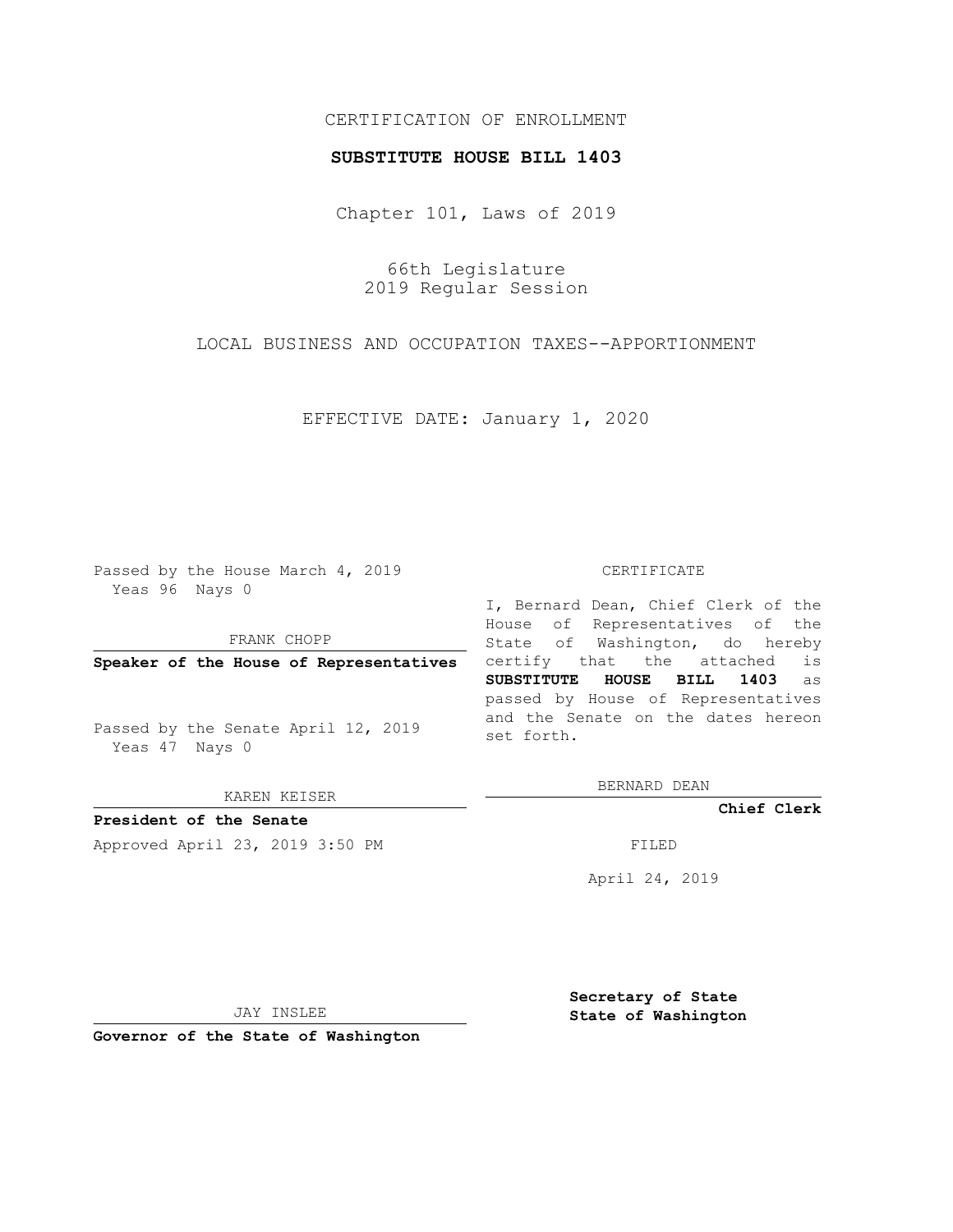## CERTIFICATION OF ENROLLMENT

## **SUBSTITUTE HOUSE BILL 1403**

Chapter 101, Laws of 2019

66th Legislature 2019 Regular Session

LOCAL BUSINESS AND OCCUPATION TAXES--APPORTIONMENT

EFFECTIVE DATE: January 1, 2020

Passed by the House March 4, 2019 Yeas 96 Nays 0

FRANK CHOPP

**Speaker of the House of Representatives**

Passed by the Senate April 12, 2019 Yeas 47 Nays 0

KAREN KEISER

**President of the Senate**

Approved April 23, 2019 3:50 PM FILED

## CERTIFICATE

I, Bernard Dean, Chief Clerk of the House of Representatives of the State of Washington, do hereby certify that the attached is **SUBSTITUTE HOUSE BILL 1403** as passed by House of Representatives and the Senate on the dates hereon set forth.

BERNARD DEAN

**Chief Clerk**

April 24, 2019

JAY INSLEE

**Governor of the State of Washington**

**Secretary of State State of Washington**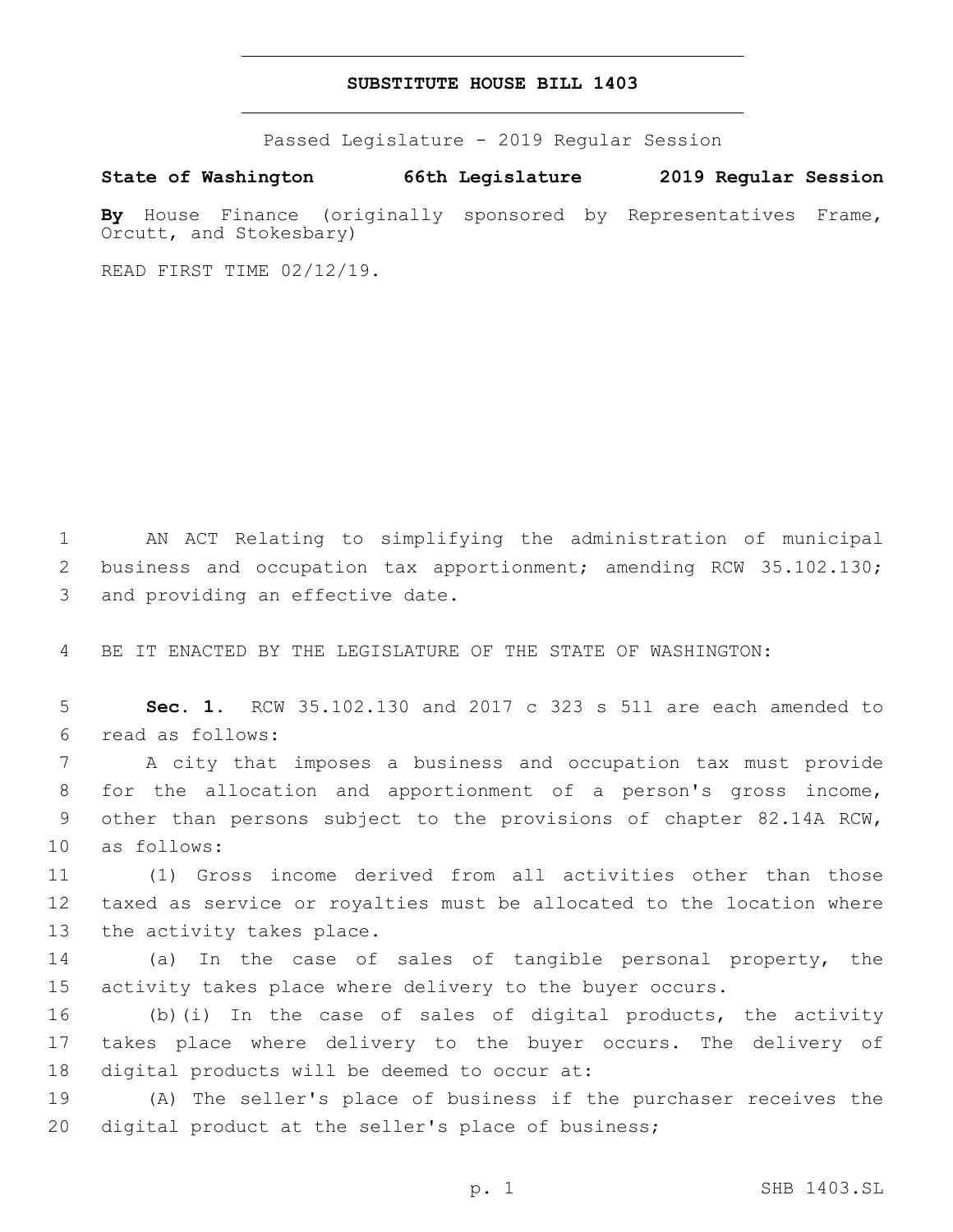## **SUBSTITUTE HOUSE BILL 1403**

Passed Legislature - 2019 Regular Session

**State of Washington 66th Legislature 2019 Regular Session**

By House Finance (originally sponsored by Representatives Frame, Orcutt, and Stokesbary)

READ FIRST TIME 02/12/19.

1 AN ACT Relating to simplifying the administration of municipal 2 business and occupation tax apportionment; amending RCW 35.102.130; 3 and providing an effective date.

4 BE IT ENACTED BY THE LEGISLATURE OF THE STATE OF WASHINGTON:

5 **Sec. 1.** RCW 35.102.130 and 2017 c 323 s 511 are each amended to read as follows:6

 A city that imposes a business and occupation tax must provide for the allocation and apportionment of a person's gross income, other than persons subject to the provisions of chapter 82.14A RCW, 10 as follows:

11 (1) Gross income derived from all activities other than those 12 taxed as service or royalties must be allocated to the location where 13 the activity takes place.

14 (a) In the case of sales of tangible personal property, the 15 activity takes place where delivery to the buyer occurs.

16 (b)(i) In the case of sales of digital products, the activity 17 takes place where delivery to the buyer occurs. The delivery of 18 digital products will be deemed to occur at:

19 (A) The seller's place of business if the purchaser receives the 20 digital product at the seller's place of business;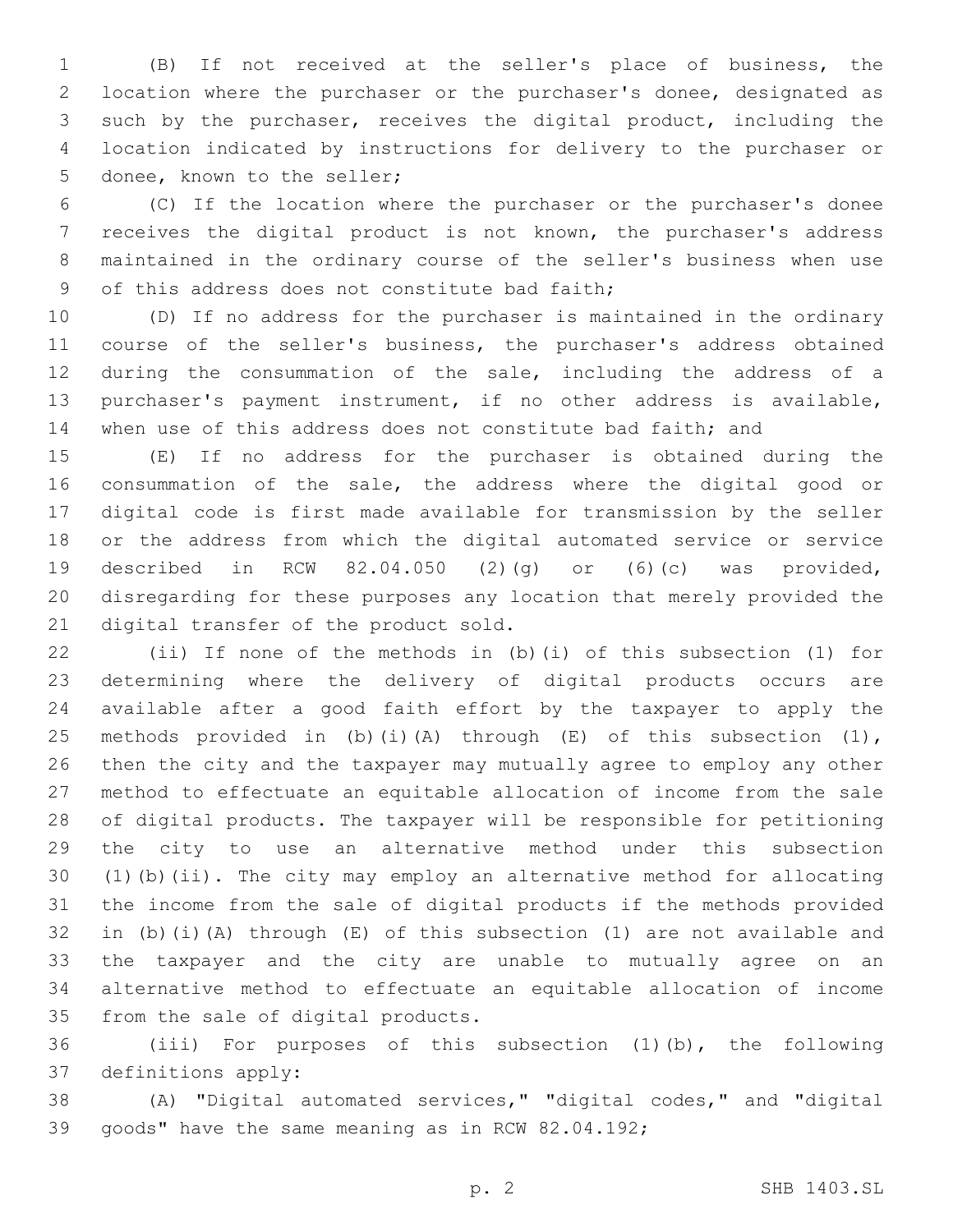(B) If not received at the seller's place of business, the location where the purchaser or the purchaser's donee, designated as such by the purchaser, receives the digital product, including the location indicated by instructions for delivery to the purchaser or 5 donee, known to the seller;

 (C) If the location where the purchaser or the purchaser's donee receives the digital product is not known, the purchaser's address maintained in the ordinary course of the seller's business when use 9 of this address does not constitute bad faith;

 (D) If no address for the purchaser is maintained in the ordinary course of the seller's business, the purchaser's address obtained during the consummation of the sale, including the address of a purchaser's payment instrument, if no other address is available, 14 when use of this address does not constitute bad faith; and

 (E) If no address for the purchaser is obtained during the consummation of the sale, the address where the digital good or digital code is first made available for transmission by the seller or the address from which the digital automated service or service described in RCW 82.04.050 (2)(g) or (6)(c) was provided, disregarding for these purposes any location that merely provided the 21 digital transfer of the product sold.

 (ii) If none of the methods in (b)(i) of this subsection (1) for determining where the delivery of digital products occurs are available after a good faith effort by the taxpayer to apply the 25 methods provided in (b)(i)(A) through  $(E)$  of this subsection  $(1)$ , then the city and the taxpayer may mutually agree to employ any other method to effectuate an equitable allocation of income from the sale of digital products. The taxpayer will be responsible for petitioning the city to use an alternative method under this subsection (1)(b)(ii). The city may employ an alternative method for allocating the income from the sale of digital products if the methods provided in (b)(i)(A) through (E) of this subsection (1) are not available and the taxpayer and the city are unable to mutually agree on an alternative method to effectuate an equitable allocation of income 35 from the sale of digital products.

 (iii) For purposes of this subsection (1)(b), the following 37 definitions apply:

 (A) "Digital automated services," "digital codes," and "digital 39 goods" have the same meaning as in RCW 82.04.192;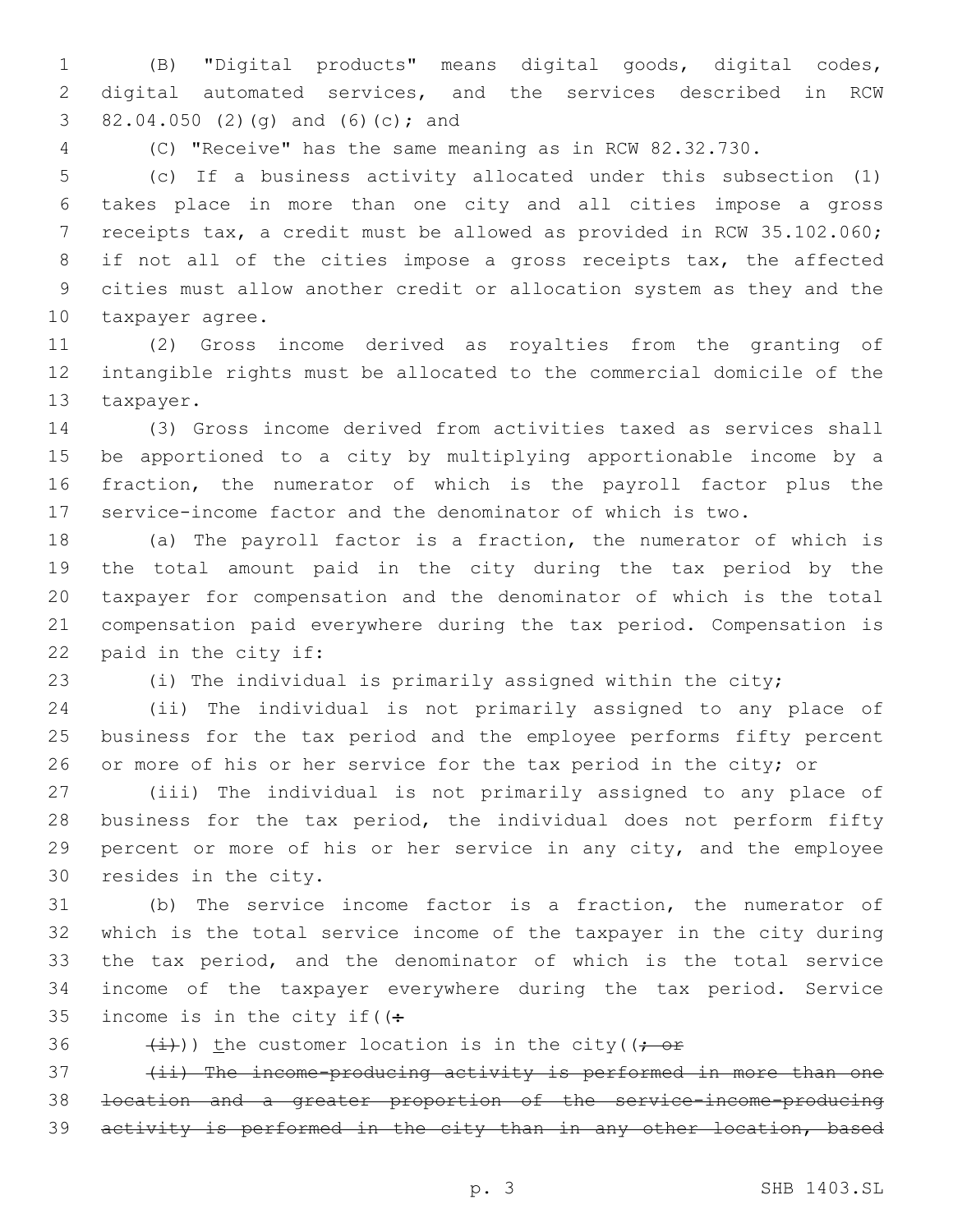(B) "Digital products" means digital goods, digital codes, digital automated services, and the services described in RCW 3 82.04.050 (2)(g) and (6)(c); and

(C) "Receive" has the same meaning as in RCW 82.32.730.

 (c) If a business activity allocated under this subsection (1) takes place in more than one city and all cities impose a gross receipts tax, a credit must be allowed as provided in RCW 35.102.060; 8 if not all of the cities impose a gross receipts tax, the affected cities must allow another credit or allocation system as they and the 10 taxpayer agree.

 (2) Gross income derived as royalties from the granting of intangible rights must be allocated to the commercial domicile of the 13 taxpayer.

 (3) Gross income derived from activities taxed as services shall be apportioned to a city by multiplying apportionable income by a fraction, the numerator of which is the payroll factor plus the service-income factor and the denominator of which is two.

 (a) The payroll factor is a fraction, the numerator of which is the total amount paid in the city during the tax period by the taxpayer for compensation and the denominator of which is the total compensation paid everywhere during the tax period. Compensation is 22 paid in the city if:

(i) The individual is primarily assigned within the city;

 (ii) The individual is not primarily assigned to any place of business for the tax period and the employee performs fifty percent 26 or more of his or her service for the tax period in the city; or

 (iii) The individual is not primarily assigned to any place of 28 business for the tax period, the individual does not perform fifty percent or more of his or her service in any city, and the employee 30 resides in the city.

 (b) The service income factor is a fraction, the numerator of which is the total service income of the taxpayer in the city during the tax period, and the denominator of which is the total service income of the taxpayer everywhere during the tax period. Service 35 income is in the city if  $($ :

36  $(i)$  (i)) the customer location is in the city((; or

 (ii) The income-producing activity is performed in more than one location and a greater proportion of the service-income-producing 39 activity is performed in the city than in any other location, based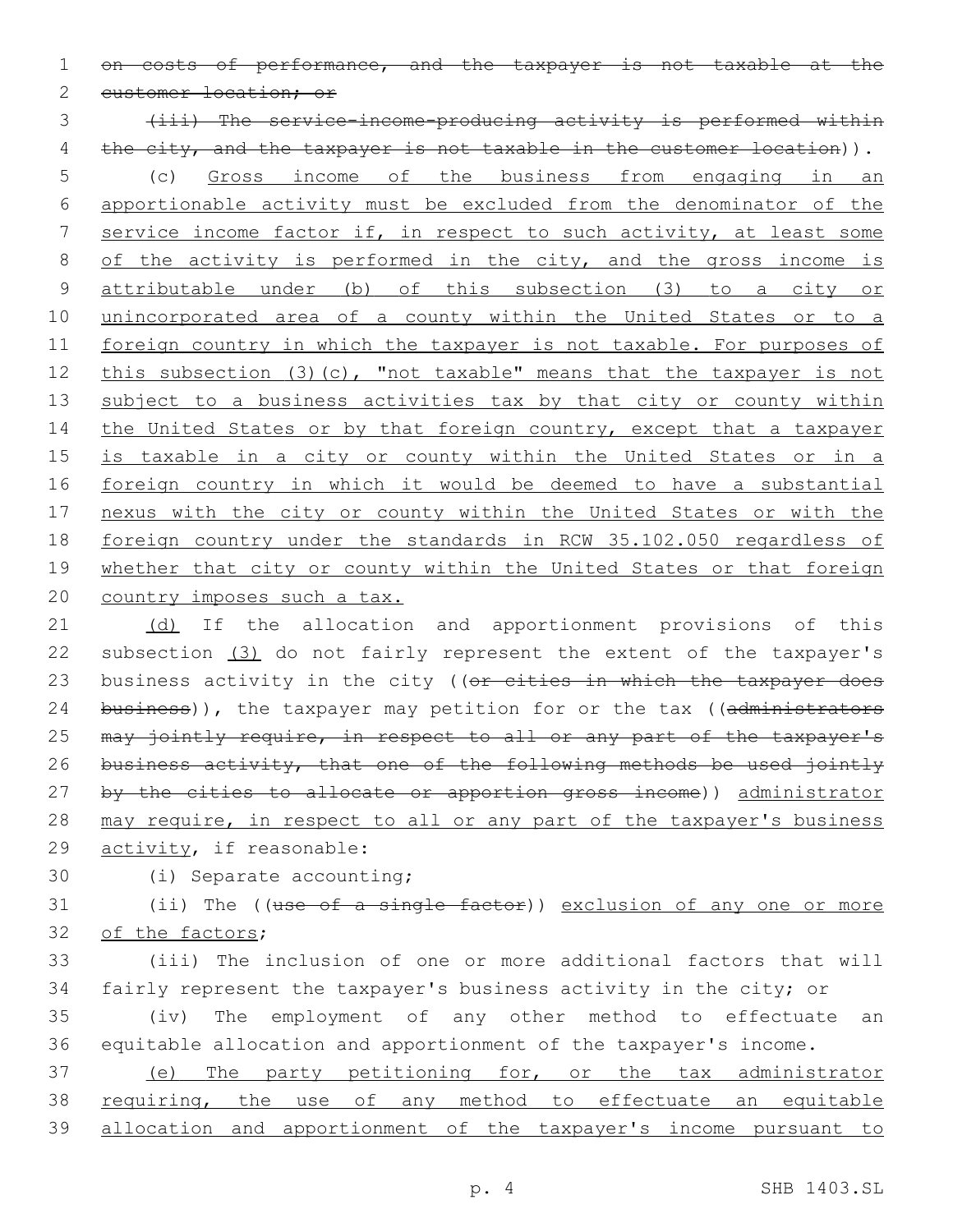1 on costs of performance, and the taxpayer is not taxable at the

2 customer location; or

3 (iii) The service-income-producing activity is performed within 4 the city, and the taxpayer is not taxable in the customer location)).

5 (c) Gross income of the business from engaging in an 6 apportionable activity must be excluded from the denominator of the 7 service income factor if, in respect to such activity, at least some 8 of the activity is performed in the city, and the gross income is 9 attributable under (b) of this subsection (3) to a city or 10 unincorporated area of a county within the United States or to a 11 foreign country in which the taxpayer is not taxable. For purposes of 12 this subsection (3)(c), "not taxable" means that the taxpayer is not 13 subject to a business activities tax by that city or county within 14 the United States or by that foreign country, except that a taxpayer 15 is taxable in a city or county within the United States or in a 16 foreign country in which it would be deemed to have a substantial 17 nexus with the city or county within the United States or with the 18 foreign country under the standards in RCW 35.102.050 regardless of 19 whether that city or county within the United States or that foreign 20 country imposes such a tax.

21 (d) If the allocation and apportionment provisions of this 22 subsection (3) do not fairly represent the extent of the taxpayer's 23 business activity in the city ((or cities in which the taxpayer does 24 business)), the taxpayer may petition for or the tax ((administrators 25 may jointly require, in respect to all or any part of the taxpayer's 26 business activity, that one of the following methods be used jointly 27 by the cities to allocate or apportion gross income)) administrator 28 may require, in respect to all or any part of the taxpayer's business 29 activity, if reasonable:

30 (i) Separate accounting;

31 (ii) The ((use of a single factor)) exclusion of any one or more 32 of the factors;

33 (iii) The inclusion of one or more additional factors that will 34 fairly represent the taxpayer's business activity in the city; or

35 (iv) The employment of any other method to effectuate an 36 equitable allocation and apportionment of the taxpayer's income.

37 (e) The party petitioning for, or the tax administrator 38 requiring, the use of any method to effectuate an equitable 39 allocation and apportionment of the taxpayer's income pursuant to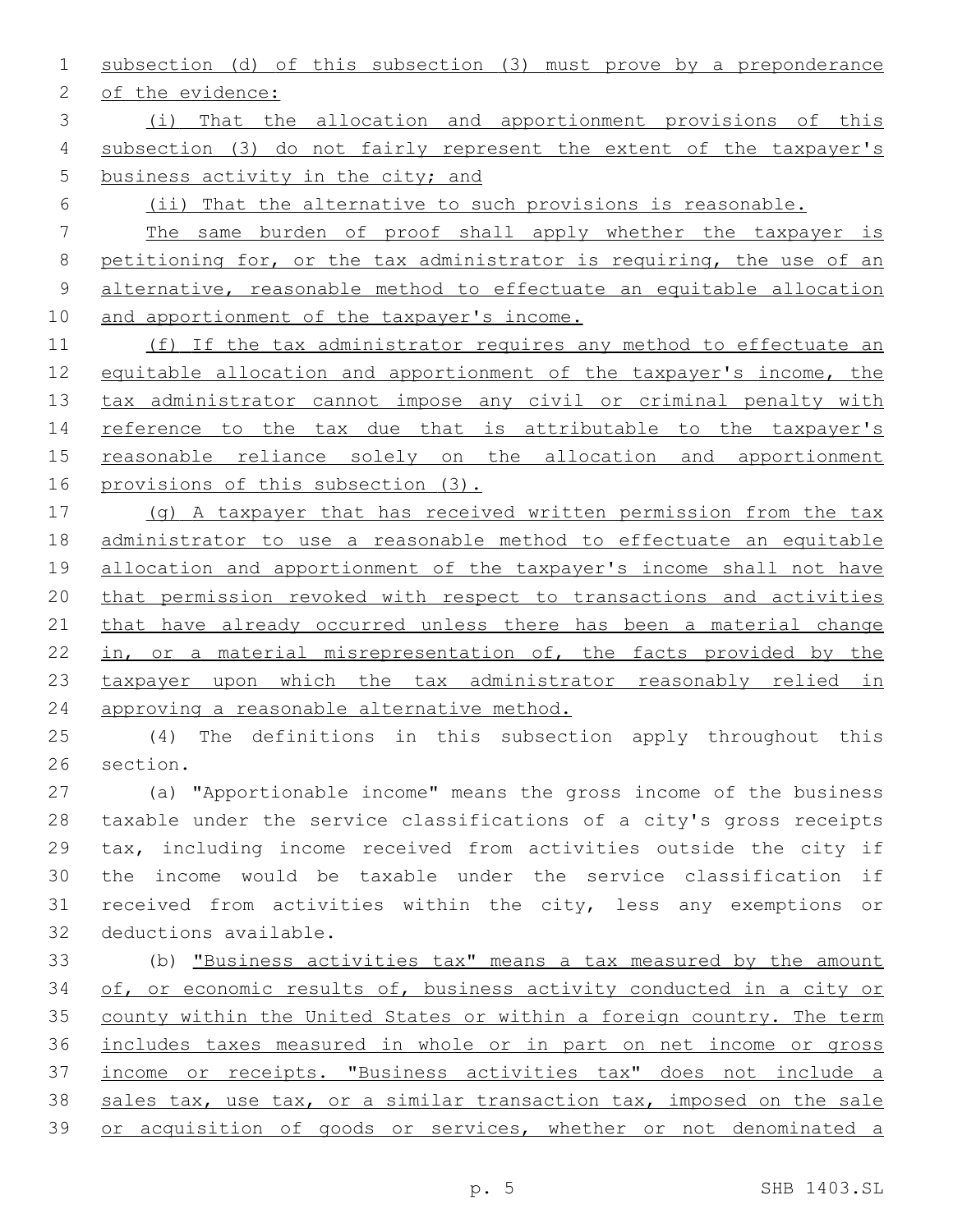subsection (d) of this subsection (3) must prove by a preponderance

2 of the evidence:

 (i) That the allocation and apportionment provisions of this subsection (3) do not fairly represent the extent of the taxpayer's business activity in the city; and

(ii) That the alternative to such provisions is reasonable.

 The same burden of proof shall apply whether the taxpayer is petitioning for, or the tax administrator is requiring, the use of an alternative, reasonable method to effectuate an equitable allocation 10 and apportionment of the taxpayer's income.

 (f) If the tax administrator requires any method to effectuate an 12 equitable allocation and apportionment of the taxpayer's income, the tax administrator cannot impose any civil or criminal penalty with 14 reference to the tax due that is attributable to the taxpayer's 15 reasonable reliance solely on the allocation and apportionment provisions of this subsection (3).

 (g) A taxpayer that has received written permission from the tax administrator to use a reasonable method to effectuate an equitable 19 allocation and apportionment of the taxpayer's income shall not have that permission revoked with respect to transactions and activities 21 that have already occurred unless there has been a material change 22 in, or a material misrepresentation of, the facts provided by the taxpayer upon which the tax administrator reasonably relied in 24 approving a reasonable alternative method.

 (4) The definitions in this subsection apply throughout this 26 section.

 (a) "Apportionable income" means the gross income of the business taxable under the service classifications of a city's gross receipts tax, including income received from activities outside the city if the income would be taxable under the service classification if received from activities within the city, less any exemptions or 32 deductions available.

 (b) "Business activities tax" means a tax measured by the amount of, or economic results of, business activity conducted in a city or county within the United States or within a foreign country. The term includes taxes measured in whole or in part on net income or gross income or receipts. "Business activities tax" does not include a 38 sales tax, use tax, or a similar transaction tax, imposed on the sale or acquisition of goods or services, whether or not denominated a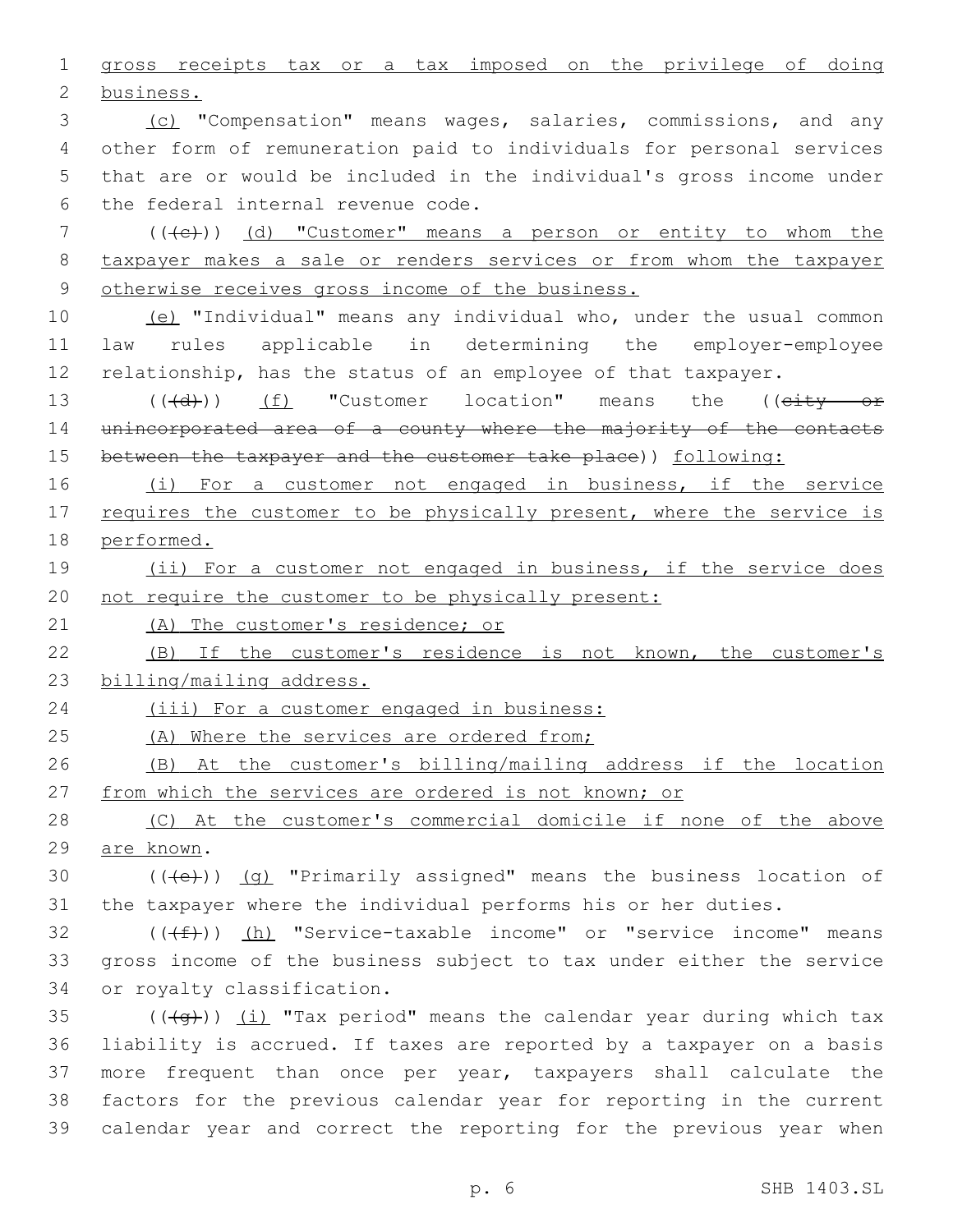gross receipts tax or a tax imposed on the privilege of doing 2 business. (c) "Compensation" means wages, salaries, commissions, and any other form of remuneration paid to individuals for personal services that are or would be included in the individual's gross income under 6 the federal internal revenue code. 7 (((e)) (d) "Customer" means a person or entity to whom the taxpayer makes a sale or renders services or from whom the taxpayer otherwise receives gross income of the business. (e) "Individual" means any individual who, under the usual common law rules applicable in determining the employer-employee 12 relationship, has the status of an employee of that taxpayer. 13 (( $(\overline{d})$ ) (f) "Customer location" means the (( $\overline{c}$ ity or 14 unincorporated area of a county where the majority of the contacts 15 between the taxpayer and the customer take place)) following: 16 (i) For a customer not engaged in business, if the service 17 requires the customer to be physically present, where the service is performed. 19 (ii) For a customer not engaged in business, if the service does not require the customer to be physically present: (A) The customer's residence; or (B) If the customer's residence is not known, the customer's billing/mailing address. (iii) For a customer engaged in business: 25 (A) Where the services are ordered from; (B) At the customer's billing/mailing address if the location 27 from which the services are ordered is not known; or (C) At the customer's commercial domicile if none of the above 29 are known.  $((+e))$   $(q)$  "Primarily assigned" means the business location of the taxpayer where the individual performs his or her duties. (( $(f)$ )) (h) "Service-taxable income" or "service income" means gross income of the business subject to tax under either the service 34 or royalty classification.  $((+q))$   $(i)$  "Tax period" means the calendar year during which tax liability is accrued. If taxes are reported by a taxpayer on a basis more frequent than once per year, taxpayers shall calculate the factors for the previous calendar year for reporting in the current calendar year and correct the reporting for the previous year when